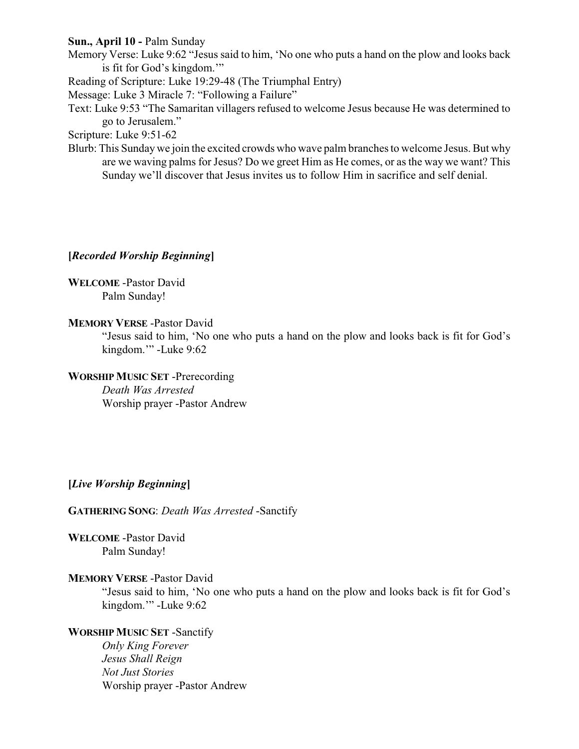# **Sun., April 10 -** Palm Sunday

Memory Verse: Luke 9:62 "Jesus said to him, 'No one who puts a hand on the plow and looks back is fit for God's kingdom.'"

Reading of Scripture: Luke 19:29-48 (The Triumphal Entry)

Message: Luke 3 Miracle 7: "Following a Failure"

Text: Luke 9:53 "The Samaritan villagers refused to welcome Jesus because He was determined to go to Jerusalem."

Scripture: Luke 9:51-62

Blurb: This Sunday we join the excited crowds who wave palm branches to welcome Jesus. But why are we waving palms for Jesus? Do we greet Him as He comes, or as the way we want? This Sunday we'll discover that Jesus invites us to follow Him in sacrifice and self denial.

# **[***Recorded Worship Beginning***]**

**WELCOME** -Pastor David Palm Sunday!

# **MEMORY VERSE** -Pastor David

"Jesus said to him, 'No one who puts a hand on the plow and looks back is fit for God's kingdom.'" -Luke 9:62

# **WORSHIP MUSIC SET** -Prerecording

*Death Was Arrested* Worship prayer -Pastor Andrew

# **[***Live Worship Beginning***]**

**GATHERING SONG**: *Death Was Arrested* -Sanctify

**WELCOME** -Pastor David Palm Sunday!

# **MEMORY VERSE** -Pastor David

"Jesus said to him, 'No one who puts a hand on the plow and looks back is fit for God's kingdom.'" -Luke 9:62

# **WORSHIP MUSIC SET** -Sanctify

*Only King Forever Jesus Shall Reign Not Just Stories* Worship prayer -Pastor Andrew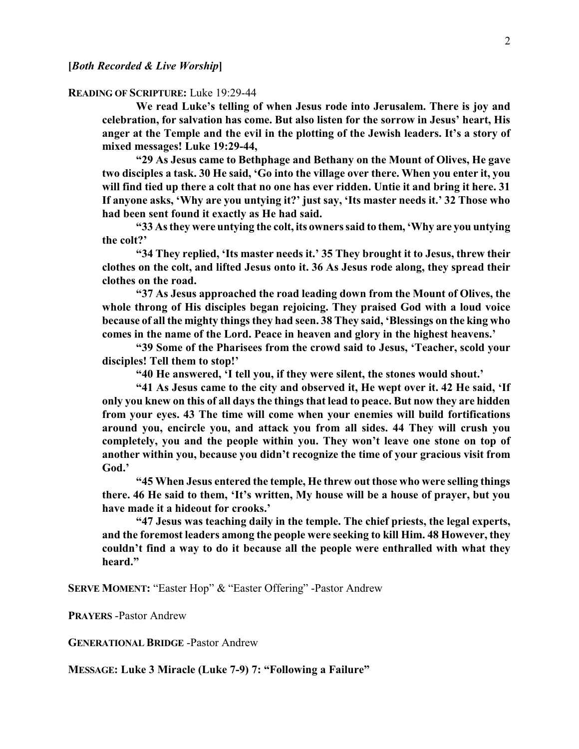#### **READING OF SCRIPTURE:** Luke 19:29-44

**We read Luke's telling of when Jesus rode into Jerusalem. There is joy and celebration, for salvation has come. But also listen for the sorrow in Jesus' heart, His anger at the Temple and the evil in the plotting of the Jewish leaders. It's a story of mixed messages! Luke 19:29-44,**

**"29 As Jesus came to Bethphage and Bethany on the Mount of Olives, He gave two disciples a task. 30 He said, 'Go into the village over there. When you enter it, you will find tied up there a colt that no one has ever ridden. Untie it and bring it here. 31 If anyone asks, 'Why are you untying it?' just say, 'Its master needs it.' 32 Those who had been sent found it exactly as He had said.**

**"33 As they were untying the colt, its owners said to them, 'Why are you untying the colt?'**

**"34 They replied, 'Its master needs it.' 35 They brought it to Jesus, threw their clothes on the colt, and lifted Jesus onto it. 36 As Jesus rode along, they spread their clothes on the road.**

**"37 As Jesus approached the road leading down from the Mount of Olives, the whole throng of His disciples began rejoicing. They praised God with a loud voice because of all the mighty things they had seen. 38 They said, 'Blessings on the king who comes in the name of the Lord. Peace in heaven and glory in the highest heavens.'**

**"39 Some of the Pharisees from the crowd said to Jesus, 'Teacher, scold your disciples! Tell them to stop!'**

**"40 He answered, 'I tell you, if they were silent, the stones would shout.'**

**"41 As Jesus came to the city and observed it, He wept over it. 42 He said, 'If only you knew on this of all days the things that lead to peace. But now they are hidden from your eyes. 43 The time will come when your enemies will build fortifications around you, encircle you, and attack you from all sides. 44 They will crush you completely, you and the people within you. They won't leave one stone on top of another within you, because you didn't recognize the time of your gracious visit from God.'**

**"45 When Jesus entered the temple, He threw out those who were selling things there. 46 He said to them, 'It's written, My house will be a house of prayer, but you have made it a hideout for crooks.'**

**"47 Jesus was teaching daily in the temple. The chief priests, the legal experts, and the foremost leaders among the people were seeking to kill Him. 48 However, they couldn't find a way to do it because all the people were enthralled with what they heard."**

**SERVE MOMENT:** "Easter Hop" & "Easter Offering" -Pastor Andrew

**PRAYERS** -Pastor Andrew

**GENERATIONAL BRIDGE** -Pastor Andrew

**MESSAGE: Luke 3 Miracle (Luke 7-9) 7: "Following a Failure"**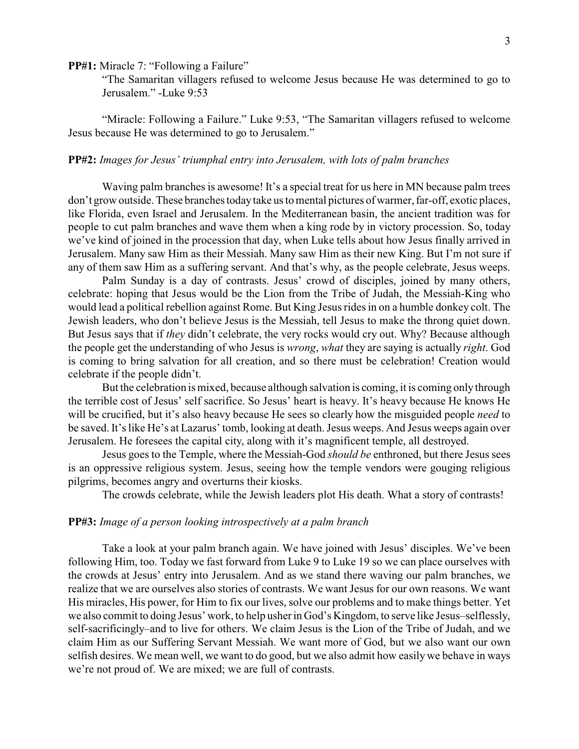**PP#1:** Miracle 7: "Following a Failure"

"The Samaritan villagers refused to welcome Jesus because He was determined to go to Jerusalem." -Luke 9:53

"Miracle: Following a Failure." Luke 9:53, "The Samaritan villagers refused to welcome Jesus because He was determined to go to Jerusalem."

#### **PP#2:** *Images for Jesus' triumphal entry into Jerusalem, with lots of palm branches*

Waving palm branches is awesome! It's a special treat for us here in MN because palm trees don't grow outside. These branches today take us to mental pictures of warmer, far-off, exotic places, like Florida, even Israel and Jerusalem. In the Mediterranean basin, the ancient tradition was for people to cut palm branches and wave them when a king rode by in victory procession. So, today we've kind of joined in the procession that day, when Luke tells about how Jesus finally arrived in Jerusalem. Many saw Him as their Messiah. Many saw Him as their new King. But I'm not sure if any of them saw Him as a suffering servant. And that's why, as the people celebrate, Jesus weeps.

Palm Sunday is a day of contrasts. Jesus' crowd of disciples, joined by many others, celebrate: hoping that Jesus would be the Lion from the Tribe of Judah, the Messiah-King who would lead a political rebellion against Rome. But King Jesus rides in on a humble donkey colt. The Jewish leaders, who don't believe Jesus is the Messiah, tell Jesus to make the throng quiet down. But Jesus says that if *they* didn't celebrate, the very rocks would cry out. Why? Because although the people get the understanding of who Jesus is *wrong*, *what* they are saying is actually *right*. God is coming to bring salvation for all creation, and so there must be celebration! Creation would celebrate if the people didn't.

But the celebration is mixed, because although salvation is coming, it is coming only through the terrible cost of Jesus' self sacrifice. So Jesus' heart is heavy. It's heavy because He knows He will be crucified, but it's also heavy because He sees so clearly how the misguided people *need* to be saved. It's like He's at Lazarus' tomb, looking at death. Jesus weeps. And Jesus weeps again over Jerusalem. He foresees the capital city, along with it's magnificent temple, all destroyed.

Jesus goes to the Temple, where the Messiah-God *should be* enthroned, but there Jesus sees is an oppressive religious system. Jesus, seeing how the temple vendors were gouging religious pilgrims, becomes angry and overturns their kiosks.

The crowds celebrate, while the Jewish leaders plot His death. What a story of contrasts!

## **PP#3:** *Image of a person looking introspectively at a palm branch*

Take a look at your palm branch again. We have joined with Jesus' disciples. We've been following Him, too. Today we fast forward from Luke 9 to Luke 19 so we can place ourselves with the crowds at Jesus' entry into Jerusalem. And as we stand there waving our palm branches, we realize that we are ourselves also stories of contrasts. We want Jesus for our own reasons. We want His miracles, His power, for Him to fix our lives, solve our problems and to make things better. Yet we also commit to doing Jesus' work, to help usher in God's Kingdom, to serve like Jesus–selflessly, self-sacrificingly–and to live for others. We claim Jesus is the Lion of the Tribe of Judah, and we claim Him as our Suffering Servant Messiah. We want more of God, but we also want our own selfish desires. We mean well, we want to do good, but we also admit how easily we behave in ways we're not proud of. We are mixed; we are full of contrasts.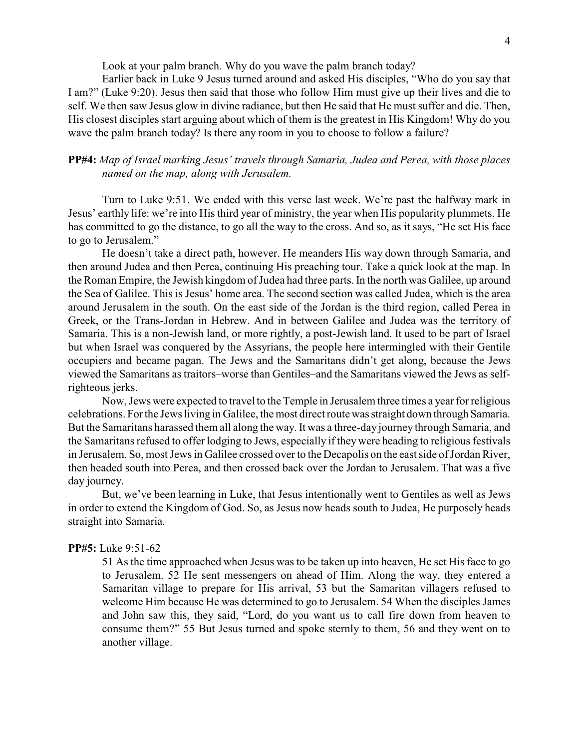Look at your palm branch. Why do you wave the palm branch today?

Earlier back in Luke 9 Jesus turned around and asked His disciples, "Who do you say that I am?" (Luke 9:20). Jesus then said that those who follow Him must give up their lives and die to self. We then saw Jesus glow in divine radiance, but then He said that He must suffer and die. Then, His closest disciples start arguing about which of them is the greatest in His Kingdom! Why do you wave the palm branch today? Is there any room in you to choose to follow a failure?

# **PP#4:** *Map of Israel marking Jesus' travels through Samaria, Judea and Perea, with those places named on the map, along with Jerusalem.*

Turn to Luke 9:51. We ended with this verse last week. We're past the halfway mark in Jesus' earthly life: we're into His third year of ministry, the year when His popularity plummets. He has committed to go the distance, to go all the way to the cross. And so, as it says, "He set His face to go to Jerusalem."

He doesn't take a direct path, however. He meanders His way down through Samaria, and then around Judea and then Perea, continuing His preaching tour. Take a quick look at the map. In the Roman Empire, the Jewish kingdom of Judea had three parts. In the north was Galilee, up around the Sea of Galilee. This is Jesus' home area. The second section was called Judea, which is the area around Jerusalem in the south. On the east side of the Jordan is the third region, called Perea in Greek, or the Trans-Jordan in Hebrew. And in between Galilee and Judea was the territory of Samaria. This is a non-Jewish land, or more rightly, a post-Jewish land. It used to be part of Israel but when Israel was conquered by the Assyrians, the people here intermingled with their Gentile occupiers and became pagan. The Jews and the Samaritans didn't get along, because the Jews viewed the Samaritans as traitors–worse than Gentiles–and the Samaritans viewed the Jews as selfrighteous jerks.

Now, Jews were expected to travel to the Temple in Jerusalem three times a year for religious celebrations. For the Jews living in Galilee, the most direct route was straight down through Samaria. But the Samaritans harassed them all along the way. It was a three-day journey through Samaria, and the Samaritans refused to offer lodging to Jews, especially if they were heading to religious festivals in Jerusalem. So, most Jews in Galilee crossed over to the Decapolis on the east side of Jordan River, then headed south into Perea, and then crossed back over the Jordan to Jerusalem. That was a five day journey.

But, we've been learning in Luke, that Jesus intentionally went to Gentiles as well as Jews in order to extend the Kingdom of God. So, as Jesus now heads south to Judea, He purposely heads straight into Samaria.

## **PP#5:** Luke 9:51-62

51 As the time approached when Jesus was to be taken up into heaven, He set His face to go to Jerusalem. 52 He sent messengers on ahead of Him. Along the way, they entered a Samaritan village to prepare for His arrival, 53 but the Samaritan villagers refused to welcome Him because He was determined to go to Jerusalem. 54 When the disciples James and John saw this, they said, "Lord, do you want us to call fire down from heaven to consume them?" 55 But Jesus turned and spoke sternly to them, 56 and they went on to another village.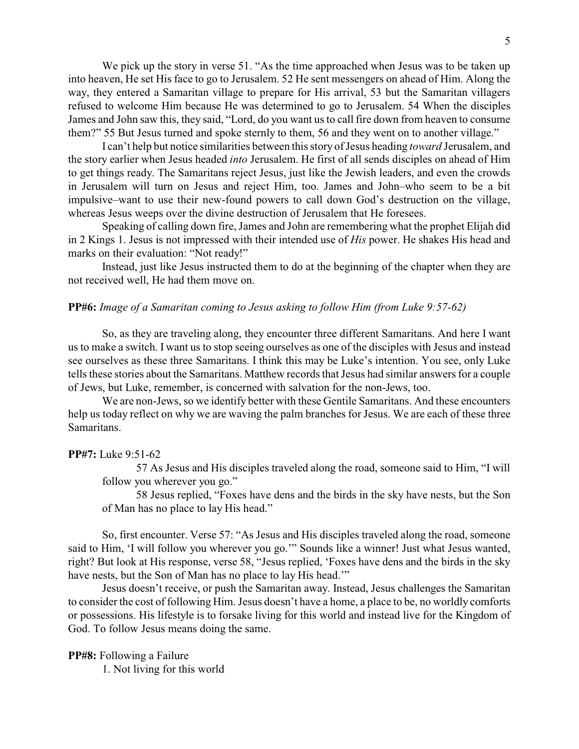We pick up the story in verse 51. "As the time approached when Jesus was to be taken up into heaven, He set His face to go to Jerusalem. 52 He sent messengers on ahead of Him. Along the way, they entered a Samaritan village to prepare for His arrival, 53 but the Samaritan villagers refused to welcome Him because He was determined to go to Jerusalem. 54 When the disciples James and John saw this, they said, "Lord, do you want us to call fire down from heaven to consume them?" 55 But Jesus turned and spoke sternly to them, 56 and they went on to another village."

I can't help but notice similarities between this story of Jesus heading *toward* Jerusalem, and the story earlier when Jesus headed *into* Jerusalem. He first of all sends disciples on ahead of Him to get things ready. The Samaritans reject Jesus, just like the Jewish leaders, and even the crowds in Jerusalem will turn on Jesus and reject Him, too. James and John–who seem to be a bit impulsive–want to use their new-found powers to call down God's destruction on the village, whereas Jesus weeps over the divine destruction of Jerusalem that He foresees.

Speaking of calling down fire, James and John are remembering what the prophet Elijah did in 2 Kings 1. Jesus is not impressed with their intended use of *His* power. He shakes His head and marks on their evaluation: "Not ready!"

Instead, just like Jesus instructed them to do at the beginning of the chapter when they are not received well, He had them move on.

### **PP#6:** *Image of a Samaritan coming to Jesus asking to follow Him (from Luke 9:57-62)*

So, as they are traveling along, they encounter three different Samaritans. And here I want us to make a switch. I want us to stop seeing ourselves as one of the disciples with Jesus and instead see ourselves as these three Samaritans. I think this may be Luke's intention. You see, only Luke tells these stories about the Samaritans. Matthew records that Jesus had similar answers for a couple of Jews, but Luke, remember, is concerned with salvation for the non-Jews, too.

We are non-Jews, so we identify better with these Gentile Samaritans. And these encounters help us today reflect on why we are waving the palm branches for Jesus. We are each of these three Samaritans.

### **PP#7:** Luke 9:51-62

57 As Jesus and His disciples traveled along the road, someone said to Him, "I will follow you wherever you go."

58 Jesus replied, "Foxes have dens and the birds in the sky have nests, but the Son of Man has no place to lay His head."

So, first encounter. Verse 57: "As Jesus and His disciples traveled along the road, someone said to Him, 'I will follow you wherever you go.'" Sounds like a winner! Just what Jesus wanted, right? But look at His response, verse 58, "Jesus replied, 'Foxes have dens and the birds in the sky have nests, but the Son of Man has no place to lay His head.'"

Jesus doesn't receive, or push the Samaritan away. Instead, Jesus challenges the Samaritan to consider the cost of following Him. Jesus doesn't have a home, a place to be, no worldly comforts or possessions. His lifestyle is to forsake living for this world and instead live for the Kingdom of God. To follow Jesus means doing the same.

# **PP#8:** Following a Failure

1. Not living for this world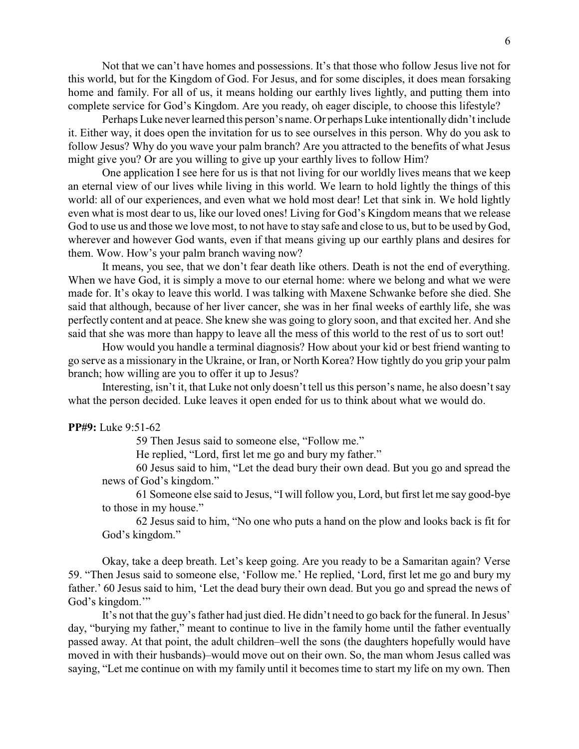Not that we can't have homes and possessions. It's that those who follow Jesus live not for this world, but for the Kingdom of God. For Jesus, and for some disciples, it does mean forsaking home and family. For all of us, it means holding our earthly lives lightly, and putting them into complete service for God's Kingdom. Are you ready, oh eager disciple, to choose this lifestyle?

Perhaps Luke never learned this person's name. Or perhaps Luke intentionally didn't include it. Either way, it does open the invitation for us to see ourselves in this person. Why do you ask to follow Jesus? Why do you wave your palm branch? Are you attracted to the benefits of what Jesus might give you? Or are you willing to give up your earthly lives to follow Him?

One application I see here for us is that not living for our worldly lives means that we keep an eternal view of our lives while living in this world. We learn to hold lightly the things of this world: all of our experiences, and even what we hold most dear! Let that sink in. We hold lightly even what is most dear to us, like our loved ones! Living for God's Kingdom means that we release God to use us and those we love most, to not have to stay safe and close to us, but to be used by God, wherever and however God wants, even if that means giving up our earthly plans and desires for them. Wow. How's your palm branch waving now?

It means, you see, that we don't fear death like others. Death is not the end of everything. When we have God, it is simply a move to our eternal home: where we belong and what we were made for. It's okay to leave this world. I was talking with Maxene Schwanke before she died. She said that although, because of her liver cancer, she was in her final weeks of earthly life, she was perfectly content and at peace. She knew she was going to glory soon, and that excited her. And she said that she was more than happy to leave all the mess of this world to the rest of us to sort out!

How would you handle a terminal diagnosis? How about your kid or best friend wanting to go serve as a missionary in the Ukraine, or Iran, or North Korea? How tightly do you grip your palm branch; how willing are you to offer it up to Jesus?

Interesting, isn't it, that Luke not only doesn't tell us this person's name, he also doesn't say what the person decided. Luke leaves it open ended for us to think about what we would do.

#### **PP#9:** Luke 9:51-62

59 Then Jesus said to someone else, "Follow me."

He replied, "Lord, first let me go and bury my father."

60 Jesus said to him, "Let the dead bury their own dead. But you go and spread the news of God's kingdom."

61 Someone else said to Jesus, "I will follow you, Lord, but first let me say good-bye to those in my house."

62 Jesus said to him, "No one who puts a hand on the plow and looks back is fit for God's kingdom."

Okay, take a deep breath. Let's keep going. Are you ready to be a Samaritan again? Verse 59. "Then Jesus said to someone else, 'Follow me.' He replied, 'Lord, first let me go and bury my father.' 60 Jesus said to him, 'Let the dead bury their own dead. But you go and spread the news of God's kingdom."

It's not that the guy's father had just died. He didn't need to go back for the funeral. In Jesus' day, "burying my father," meant to continue to live in the family home until the father eventually passed away. At that point, the adult children–well the sons (the daughters hopefully would have moved in with their husbands)–would move out on their own. So, the man whom Jesus called was saying, "Let me continue on with my family until it becomes time to start my life on my own. Then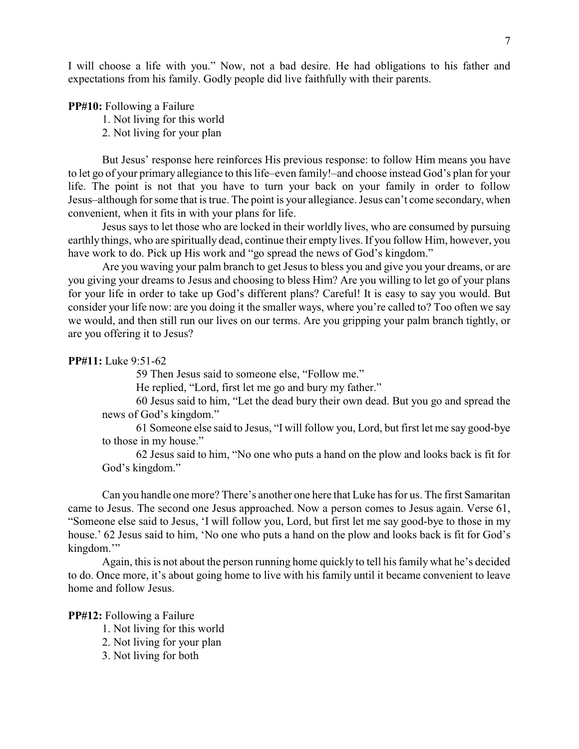I will choose a life with you." Now, not a bad desire. He had obligations to his father and expectations from his family. Godly people did live faithfully with their parents.

**PP#10:** Following a Failure

1. Not living for this world

2. Not living for your plan

But Jesus' response here reinforces His previous response: to follow Him means you have to let go of your primary allegiance to this life–even family!–and choose instead God's plan for your life. The point is not that you have to turn your back on your family in order to follow Jesus–although for some that is true. The point is your allegiance. Jesus can't come secondary, when convenient, when it fits in with your plans for life.

Jesus says to let those who are locked in their worldly lives, who are consumed by pursuing earthly things, who are spiritually dead, continue their empty lives. If you follow Him, however, you have work to do. Pick up His work and "go spread the news of God's kingdom."

Are you waving your palm branch to get Jesus to bless you and give you your dreams, or are you giving your dreams to Jesus and choosing to bless Him? Are you willing to let go of your plans for your life in order to take up God's different plans? Careful! It is easy to say you would. But consider your life now: are you doing it the smaller ways, where you're called to? Too often we say we would, and then still run our lives on our terms. Are you gripping your palm branch tightly, or are you offering it to Jesus?

# **PP#11:** Luke 9:51-62

59 Then Jesus said to someone else, "Follow me."

He replied, "Lord, first let me go and bury my father."

60 Jesus said to him, "Let the dead bury their own dead. But you go and spread the news of God's kingdom."

61 Someone else said to Jesus, "I will follow you, Lord, but first let me say good-bye to those in my house."

62 Jesus said to him, "No one who puts a hand on the plow and looks back is fit for God's kingdom."

Can you handle one more? There's another one here that Luke has for us. The first Samaritan came to Jesus. The second one Jesus approached. Now a person comes to Jesus again. Verse 61, "Someone else said to Jesus, 'I will follow you, Lord, but first let me say good-bye to those in my house.' 62 Jesus said to him, 'No one who puts a hand on the plow and looks back is fit for God's kingdom."

Again, this is not about the person running home quickly to tell his family what he's decided to do. Once more, it's about going home to live with his family until it became convenient to leave home and follow Jesus.

## **PP#12:** Following a Failure

- 1. Not living for this world
- 2. Not living for your plan
- 3. Not living for both